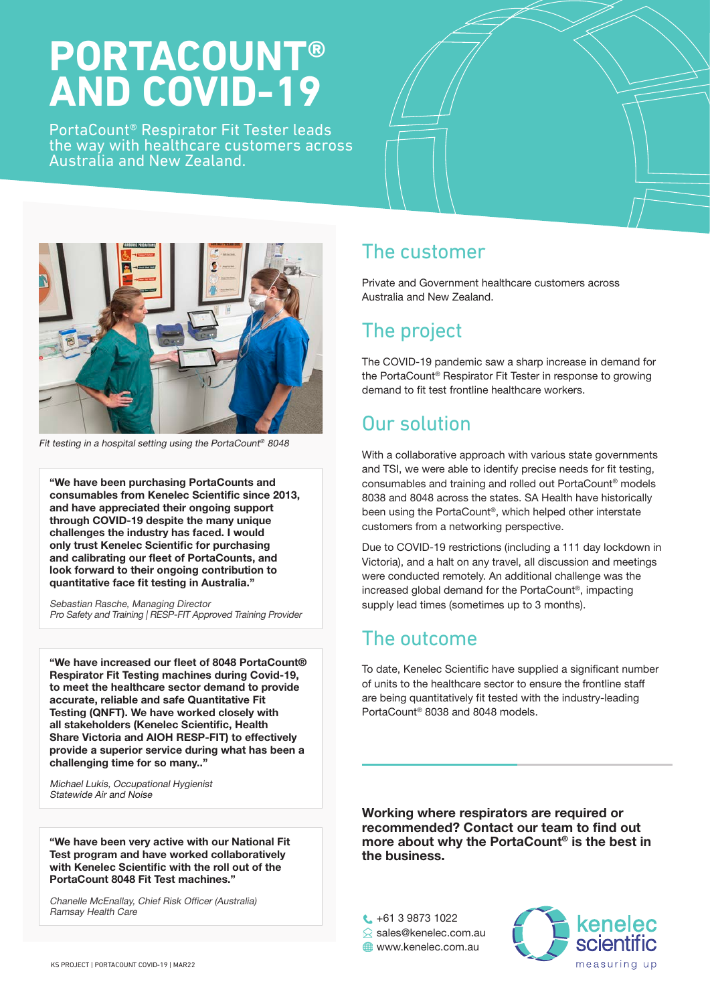# **PORTACOUNT® AND COVID-19**

PortaCount® Respirator Fit Tester leads the way with healthcare customers across Australia and New Zealand.





Fit testing in a hospital setting using the PortaCount<sup>®</sup> 8048

"We have been purchasing PortaCounts and consumables from Kenelec Scientific since 2013, and have appreciated their ongoing support through COVID-19 despite the many unique challenges the industry has faced. I would only trust Kenelec Scientific for purchasing and calibrating our fleet of PortaCounts, and look forward to their ongoing contribution to quantitative face fit testing in Australia."

Sebastian Rasche, Managing Director Pro Safety and Training | RESP-FIT Approved Training Provider

"We have increased our fleet of 8048 PortaCount® Respirator Fit Testing machines during Covid-19, to meet the healthcare sector demand to provide accurate, reliable and safe Quantitative Fit Testing (QNFT). We have worked closely with all stakeholders (Kenelec Scientific, Health Share Victoria and AIOH RESP-FIT) to effectively provide a superior service during what has been a challenging time for so many.."

Michael Lukis, Occupational Hygienist Statewide Air and Noise

"We have been very active with our National Fit Test program and have worked collaboratively with Kenelec Scientific with the roll out of the PortaCount 8048 Fit Test machines."

Chanelle McEnallay, Chief Risk Officer (Australia) Ramsay Health Care

### The customer

Private and Government healthcare customers across Australia and New Zealand.

## The project

The COVID-19 pandemic saw a sharp increase in demand for the PortaCount® Respirator Fit Tester in response to growing demand to fit test frontline healthcare workers.

# Our solution

With a collaborative approach with various state governments and TSI, we were able to identify precise needs for fit testing, consumables and training and rolled out PortaCount® models 8038 and 8048 across the states. SA Health have historically been using the PortaCount®, which helped other interstate customers from a networking perspective.

Due to COVID-19 restrictions (including a 111 day lockdown in Victoria), and a halt on any travel, all discussion and meetings were conducted remotely. An additional challenge was the increased global demand for the PortaCount®, impacting supply lead times (sometimes up to 3 months).

### The outcome

To date, Kenelec Scientific have supplied a significant number of units to the healthcare sector to ensure the frontline staff are being quantitatively fit tested with the industry-leading PortaCount® 8038 and 8048 models.

Working where respirators are required or recommended? Contact our team to find out more about why the PortaCount® is the best in the business.

 $\binom{1}{1}$  +61 3 9873 1022

- **S** sales@kenelec.com.au
- **WWW.kenelec.com.au**